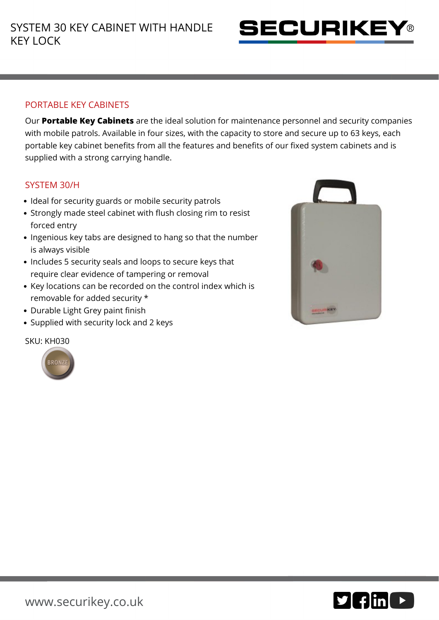

## PORTABLE KEY CABINETS

Our **Portable Key Cabinets** are the ideal solution for maintenance personnel and security companies with mobile patrols. Available in four sizes, with the capacity to store and secure up to 63 keys, each portable key cabinet benefits from all the features and benefits of our fixed system cabinets and is supplied with a strong carrying handle.

## SYSTEM 30/H

- Ideal for security guards or mobile security patrols
- Strongly made steel cabinet with flush closing rim to resist forced entry
- Ingenious key tabs are designed to hang so that the number is always visible
- Includes 5 security seals and loops to secure keys that require clear evidence of tampering or removal
- Key locations can be recorded on the control index which is removable for added security \*
- Durable Light Grey paint finish
- Supplied with security lock and 2 keys



SKU: KH030



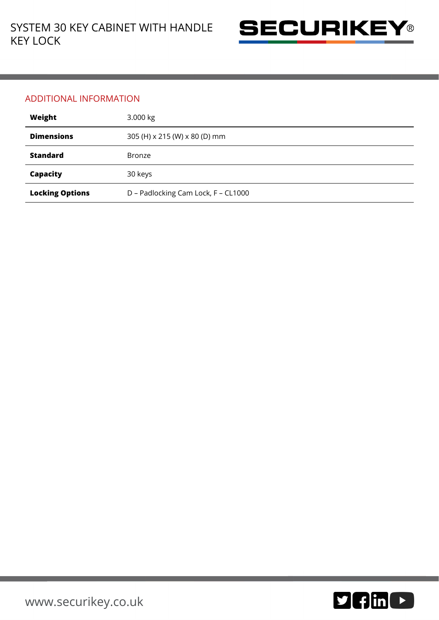

## ADDITIONAL INFORMATION

| Weight                 | 3.000 kg                            |
|------------------------|-------------------------------------|
| <b>Dimensions</b>      | 305 (H) x 215 (W) x 80 (D) mm       |
| <b>Standard</b>        | Bronze                              |
| Capacity               | 30 keys                             |
| <b>Locking Options</b> | D - Padlocking Cam Lock, F - CL1000 |

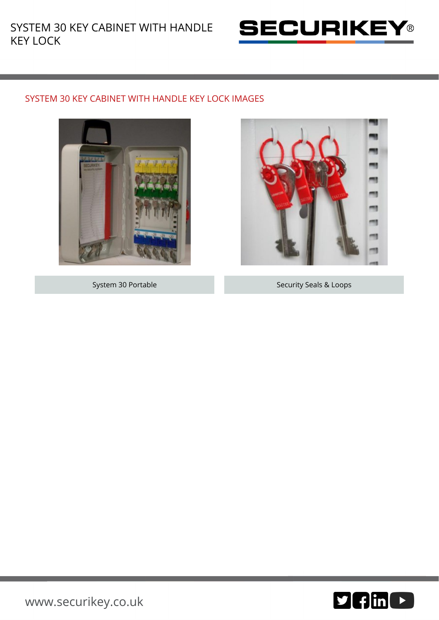

## SYSTEM 30 KEY CABINET WITH HANDLE KEY LOCK IMAGES





System 30 Portable Security Seals & Loops